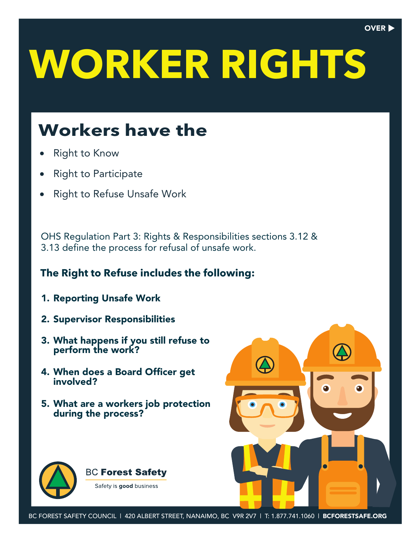# **WORKER RIGHTS**

### **Workers have the**

- **Right to Know**
- Right to Participate
- Right to Refuse Unsafe Work

OHS Regulation Part 3: Rights & Responsibilities sections 3.12 & 3.13 define the process for refusal of unsafe work.

#### **The Right to Refuse includes the following:**

- 1. Reporting Unsafe Work
- 2. Supervisor Responsibilities
- 3. What happens if you still refuse to perform the work?
- 4. When does a Board Officer get involved?
- 5. What are a workers job protection during the process?





 $\Delta$